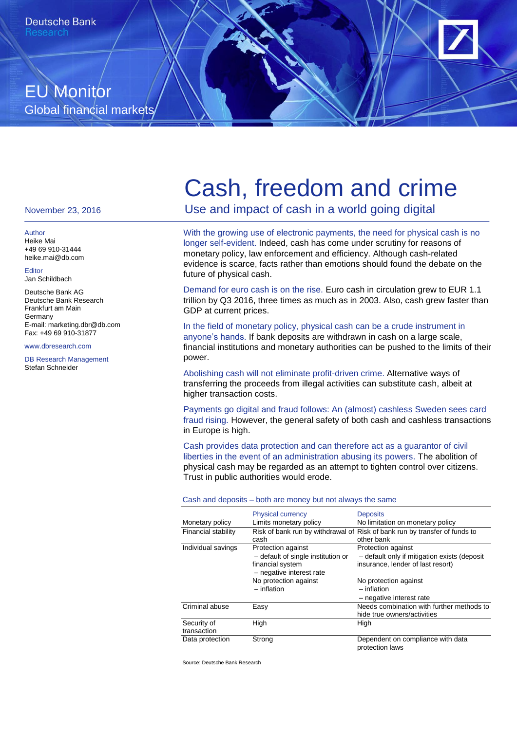# EU Monitor Global financial markets

#### November 23, 2016

Author Heike Mai +49 69 910-31444 heike.mai@db.com

Editor Jan Schildbach

Deutsche Bank AG Deutsche Bank Research Frankfurt am Main **Germany** E-mail: marketing.dbr@db.com Fax: +49 69 910-31877

www.dbresearch.com

DB Research Management Stefan Schneider

# Cash, freedom and crime

Use and impact of cash in a world going digital

With the growing use of electronic payments, the need for physical cash is no longer self-evident. Indeed, cash has come under scrutiny for reasons of monetary policy, law enforcement and efficiency. Although cash-related evidence is scarce, facts rather than emotions should found the debate on the future of physical cash.

Demand for euro cash is on the rise. Euro cash in circulation grew to EUR 1.1 trillion by Q3 2016, three times as much as in 2003. Also, cash grew faster than GDP at current prices.

In the field of monetary policy, physical cash can be a crude instrument in anyone's hands. If bank deposits are withdrawn in cash on a large scale, financial institutions and monetary authorities can be pushed to the limits of their power.

Abolishing cash will not eliminate profit-driven crime. Alternative ways of transferring the proceeds from illegal activities can substitute cash, albeit at higher transaction costs.

Payments go digital and fraud follows: An (almost) cashless Sweden sees card fraud rising. However, the general safety of both cash and cashless transactions in Europe is high.

Cash provides data protection and can therefore act as a guarantor of civil liberties in the event of an administration abusing its powers. The abolition of physical cash may be regarded as an attempt to tighten control over citizens. Trust in public authorities would erode.

#### Cash and deposits – both are money but not always the same

|                            | <b>Physical currency</b>                                                           | <b>Deposits</b>                                                                          |
|----------------------------|------------------------------------------------------------------------------------|------------------------------------------------------------------------------------------|
| Monetary policy            | Limits monetary policy                                                             | No limitation on monetary policy                                                         |
| Financial stability        | cash                                                                               | Risk of bank run by withdrawal of Risk of bank run by transfer of funds to<br>other bank |
| Individual savings         | Protection against                                                                 | Protection against                                                                       |
|                            | - default of single institution or<br>financial system<br>- negative interest rate | - default only if mitigation exists (deposit<br>insurance, lender of last resort)        |
|                            | No protection against                                                              | No protection against                                                                    |
|                            | $-$ inflation                                                                      | - inflation                                                                              |
|                            |                                                                                    | - negative interest rate                                                                 |
| Criminal abuse             | Easy                                                                               | Needs combination with further methods to                                                |
|                            |                                                                                    | hide true owners/activities                                                              |
| Security of<br>transaction | High                                                                               | High                                                                                     |
| Data protection            | Strong                                                                             | Dependent on compliance with data<br>protection laws                                     |

Source: Deutsche Bank Research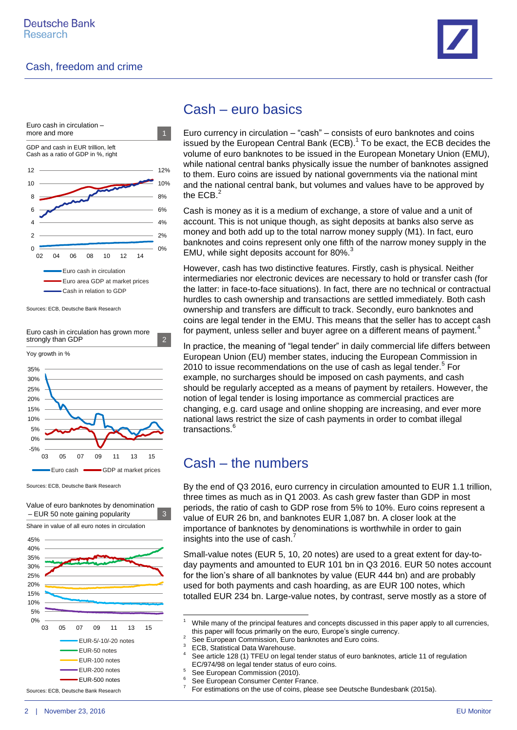

0% 2% 4% 6% 8% 10% 12%  $\Omega$ 2 4 6 8 10 12 02 04 06 08 10 12 14 Euro cash in circulation Euro area GDP at market prices Cash in relation to GDP Euro cash in circulation – more and more 1 and 1 GDP and cash in EUR trillion, left Cash as a ratio of GDP in %, right

Sources: ECB, Deutsche Bank Research



Sources: ECB, Deutsche Bank Research

0% 5% 10% 15% 20% 25% 30% 35% 40%  $ABO$ 03 05 07 09 11 13 15 EUR-5/-10/-20 notes EUR-50 notes EUR-100 notes EUR-200 notes EUR-500 notes Value of euro banknotes by denomination – EUR 50 note gaining popularity 3 Sources: ECB, Deutsche Bank Research Share in value of all euro notes in circulation

### Cash – euro basics

Euro currency in circulation – "cash" – consists of euro banknotes and coins issued by the European Central Bank (ECB). 1 To be exact, the ECB decides the volume of euro banknotes to be issued in the European Monetary Union (EMU), while national central banks physically issue the number of banknotes assigned to them. Euro coins are issued by national governments via the national mint and the national central bank, but volumes and values have to be approved by the ECB. $<sup>2</sup>$ </sup>

Cash is money as it is a medium of exchange, a store of value and a unit of account. This is not unique though, as sight deposits at banks also serve as money and both add up to the total narrow money supply (M1). In fact, euro banknotes and coins represent only one fifth of the narrow money supply in the EMU, while sight deposits account for 80%.<sup>3</sup>

However, cash has two distinctive features. Firstly, cash is physical. Neither intermediaries nor electronic devices are necessary to hold or transfer cash (for the latter: in face-to-face situations). In fact, there are no technical or contractual hurdles to cash ownership and transactions are settled immediately. Both cash ownership and transfers are difficult to track. Secondly, euro banknotes and coins are legal tender in the EMU. This means that the seller has to accept cash for payment, unless seller and buyer agree on a different means of payment.<sup>4</sup>

In practice, the meaning of "legal tender" in daily commercial life differs between European Union (EU) member states, inducing the European Commission in 2010 to issue recommendations on the use of cash as legal tender. $5$  For example, no surcharges should be imposed on cash payments, and cash should be regularly accepted as a means of payment by retailers. However, the notion of legal tender is losing importance as commercial practices are changing, e.g. card usage and online shopping are increasing, and ever more national laws restrict the size of cash payments in order to combat illegal transactions.<sup>6</sup>

### Cash – the numbers

By the end of Q3 2016, euro currency in circulation amounted to EUR 1.1 trillion, three times as much as in Q1 2003. As cash grew faster than GDP in most periods, the ratio of cash to GDP rose from 5% to 10%. Euro coins represent a value of EUR 26 bn, and banknotes EUR 1,087 bn. A closer look at the importance of banknotes by denominations is worthwhile in order to gain insights into the use of cash.<sup>1</sup>

Small-value notes (EUR 5, 10, 20 notes) are used to a great extent for day-today payments and amounted to EUR 101 bn in Q3 2016. EUR 50 notes account for the lion's share of all banknotes by value (EUR 444 bn) and are probably used for both payments and cash hoarding, as are EUR 100 notes, which totalled EUR 234 bn. Large-value notes, by contrast, serve mostly as a store of

-

While many of the principal features and concepts discussed in this paper apply to all currencies. this paper will focus primarily on the euro, Europe's single currency.

<sup>&</sup>lt;sup>2</sup> See European Commission, Euro banknotes and Euro coins.

<sup>&</sup>lt;sup>3</sup> ECB, Statistical Data Warehouse.

See article 128 (1) TFEU on legal tender status of euro banknotes, article 11 of regulation EC/974/98 on legal tender status of euro coins.

 $\frac{5}{6}$  See European Commission (2010)

See European Consumer Center France.

<sup>7</sup> For estimations on the use of coins, please see Deutsche Bundesbank (2015a).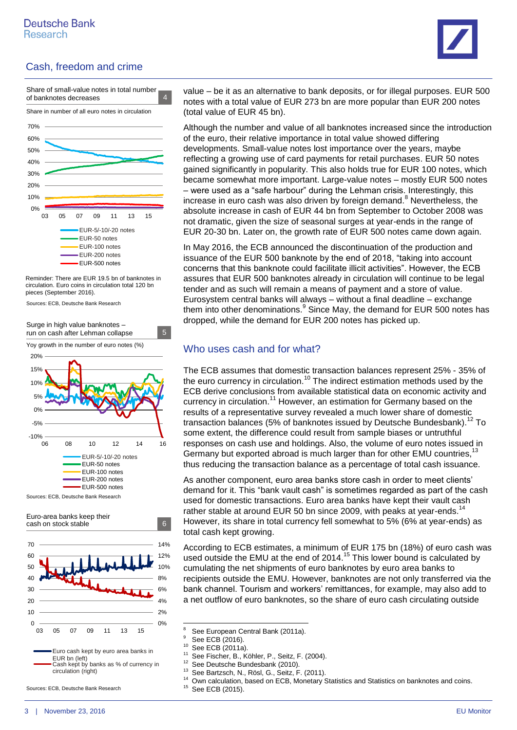

Reminder: There are EUR 19.5 bn of banknotes in circulation. Euro coins in circulation total 120 bn pieces (September 2016).

Sources: ECB, Deutsche Bank Research

-10% -5% 0% 5% 10% 15% 20% 06 08 10 12 14 16 EUR-5/-10/-20 notes EUR-50 notes EUR-100 notes EUR-200 notes EUR-500 notes Surge in high value banknotes – run on cash after Lehman collapse  $\overline{5}$ Yoy growth in the number of euro notes (%) Sources: ECB, Deutsche Bank Research



Sources: ECB, Deutsche Bank Research

value – be it as an alternative to bank deposits, or for illegal purposes. EUR 500 notes with a total value of EUR 273 bn are more popular than EUR 200 notes (total value of EUR 45 bn).

Although the number and value of all banknotes increased since the introduction of the euro, their relative importance in total value showed differing developments. Small-value notes lost importance over the years, maybe reflecting a growing use of card payments for retail purchases. EUR 50 notes gained significantly in popularity. This also holds true for EUR 100 notes, which became somewhat more important. Large-value notes – mostly EUR 500 notes – were used as a "safe harbour" during the Lehman crisis. Interestingly, this increase in euro cash was also driven by foreign demand. $8$  Nevertheless, the absolute increase in cash of EUR 44 bn from September to October 2008 was not dramatic, given the size of seasonal surges at year-ends in the range of EUR 20-30 bn. Later on, the growth rate of EUR 500 notes came down again.

In May 2016, the ECB announced the discontinuation of the production and issuance of the EUR 500 banknote by the end of 2018, "taking into account concerns that this banknote could facilitate illicit activities". However, the ECB assures that EUR 500 banknotes already in circulation will continue to be legal tender and as such will remain a means of payment and a store of value. Eurosystem central banks will always – without a final deadline – exchange them into other denominations.<sup>9</sup> Since May, the demand for EUR 500 notes has dropped, while the demand for EUR 200 notes has picked up.

#### Who uses cash and for what?

The ECB assumes that domestic transaction balances represent 25% - 35% of the euro currency in circulation.<sup>10</sup> The indirect estimation methods used by the ECB derive conclusions from available statistical data on economic activity and currency in circulation.<sup>11</sup> However, an estimation for Germany based on the results of a representative survey revealed a much lower share of domestic transaction balances (5% of banknotes issued by Deutsche Bundesbank).<sup>12</sup> To some extent, the difference could result from sample biases or untruthful responses on cash use and holdings. Also, the volume of euro notes issued in Germany but exported abroad is much larger than for other EMU countries,<sup>13</sup> thus reducing the transaction balance as a percentage of total cash issuance.

As another component, euro area banks store cash in order to meet clients' demand for it. This "bank vault cash" is sometimes regarded as part of the cash used for domestic transactions. Euro area banks have kept their vault cash rather stable at around EUR 50 bn since 2009, with peaks at year-ends.<sup>14</sup> However, its share in total currency fell somewhat to 5% (6% at year-ends) as total cash kept growing.

According to ECB estimates, a minimum of EUR 175 bn (18%) of euro cash was used outside the EMU at the end of 2014.<sup>15</sup> This lower bound is calculated by cumulating the net shipments of euro banknotes by euro area banks to recipients outside the EMU. However, banknotes are not only transferred via the bank channel. Tourism and workers' remittances, for example, may also add to a net outflow of euro banknotes, so the share of euro cash circulating outside

 $\overline{8}$  $\frac{8}{9}$  See European Central Bank (2011a).

 $^{9}$  See ECB (2016).

 $^{10}$  See ECB (2011a).

<sup>&</sup>lt;sup>11</sup> See Fischer, B., Köhler, P., Seitz, F. (2004).

<sup>&</sup>lt;sup>12</sup> See Deutsche Bundesbank (2010).

<sup>&</sup>lt;sup>13</sup> See Bartzsch, N., Rösl, G., Seitz, F. (2011).<br><sup>14</sup> Our selection besed as ECB Manatary.

Own calculation, based on ECB, Monetary Statistics and Statistics on banknotes and coins.

<sup>&</sup>lt;sup>15</sup> See ECB (2015).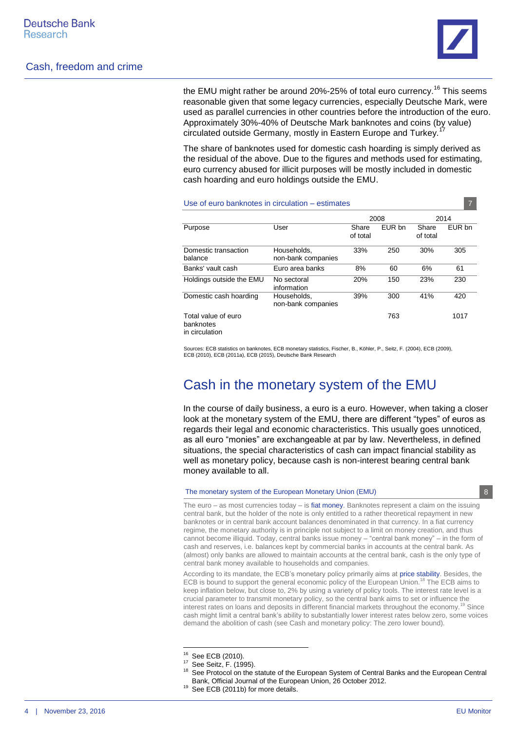

the EMU might rather be around 20%-25% of total euro currency.<sup>16</sup> This seems reasonable given that some legacy currencies, especially Deutsche Mark, were used as parallel currencies in other countries before the introduction of the euro. Approximately 30%-40% of Deutsche Mark banknotes and coins (by value) circulated outside Germany, mostly in Eastern Europe and Turkey.

The share of banknotes used for domestic cash hoarding is simply derived as the residual of the above. Due to the figures and methods used for estimating, euro currency abused for illicit purposes will be mostly included in domestic cash hoarding and euro holdings outside the EMU.

| Use of euro banknotes in circulation – estimates   |                                   |                   |        | $\overline{7}$    |        |
|----------------------------------------------------|-----------------------------------|-------------------|--------|-------------------|--------|
|                                                    |                                   |                   | 2008   |                   | 2014   |
| Purpose                                            | User                              | Share<br>of total | EUR bn | Share<br>of total | EUR bn |
| Domestic transaction<br>balance                    | Households.<br>non-bank companies | 33%               | 250    | 30%               | 305    |
| Banks' vault cash                                  | Euro area banks                   | 8%                | 60     | 6%                | 61     |
| Holdings outside the EMU                           | No sectoral<br>information        | 20%               | 150    | 23%               | 230    |
| Domestic cash hoarding                             | Households,<br>non-bank companies | 39%               | 300    | 41%               | 420    |
| Total value of euro<br>banknotes<br>in circulation |                                   |                   | 763    |                   | 1017   |

Sources: ECB statistics on banknotes, ECB monetary statistics, Fischer, B., Köhler, P., Seitz, F. (2004), ECB (2009), ECB (2010), ECB (2011a), ECB (2015), Deutsche Bank Research

# Cash in the monetary system of the EMU

In the course of daily business, a euro is a euro. However, when taking a closer look at the monetary system of the EMU, there are different "types" of euros as regards their legal and economic characteristics. This usually goes unnoticed, as all euro "monies" are exchangeable at par by law. Nevertheless, in defined situations, the special characteristics of cash can impact financial stability as well as monetary policy, because cash is non-interest bearing central bank money available to all.

#### The monetary system of the European Monetary Union (EMU) 8

The euro – as most currencies today – is fiat money. Banknotes represent a claim on the issuing central bank, but the holder of the note is only entitled to a rather theoretical repayment in new banknotes or in central bank account balances denominated in that currency. In a fiat currency regime, the monetary authority is in principle not subject to a limit on money creation, and thus cannot become illiquid. Today, central banks issue money – "central bank money" – in the form of cash and reserves, i.e. balances kept by commercial banks in accounts at the central bank. As (almost) only banks are allowed to maintain accounts at the central bank, cash is the only type of central bank money available to households and companies.

According to its mandate, the ECB's monetary policy primarily aims at price stability. Besides, the ECB is bound to support the general economic policy of the European Union.<sup>18</sup> The ECB aims to keep inflation below, but close to, 2% by using a variety of policy tools. The interest rate level is a crucial parameter to transmit monetary policy, so the central bank aims to set or influence the interest rates on loans and deposits in different financial markets throughout the economy.<sup>19</sup> Since cash might limit a central bank's ability to substantially lower interest rates below zero, some voices demand the abolition of cash (see Cash and monetary policy: The zero lower bound).

- $^{16}$  See ECB (2010).
- $17$  See Seitz, F. (1995).

<sup>19</sup> See ECB (2011b) for more details.

See Protocol on the statute of the European System of Central Banks and the European Central Bank, Official Journal of the European Union, 26 October 2012.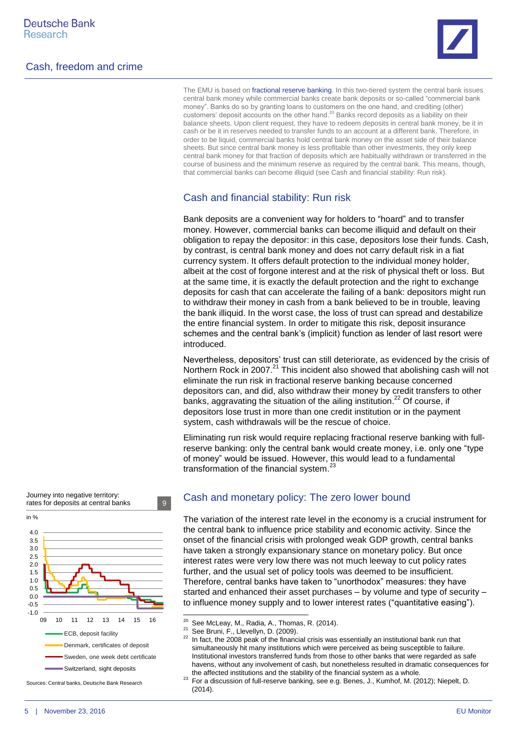

The EMU is based on fractional reserve banking. In this two-tiered system the central bank issues central bank money while commercial banks create bank deposits or so-called "commercial bank money". Banks do so by granting loans to customers on the one hand, and crediting (other) customers' deposit accounts on the other hand.<sup>20</sup> Banks record deposits as a liability on their balance sheets. Upon client request, they have to redeem deposits in central bank money, be it in cash or be it in reserves needed to transfer funds to an account at a different bank. Therefore, in order to be liquid, commercial banks hold central bank money on the asset side of their balance sheets. But since central bank money is less profitable than other investments, they only keep central bank money for that fraction of deposits which are habitually withdrawn or transferred in the course of business and the minimum reserve as required by the central bank. This means, though, that commercial banks can become illiquid (see Cash and financial stability: Run risk).

#### Cash and financial stability: Run risk

Bank deposits are a convenient way for holders to "hoard" and to transfer money. However, commercial banks can become illiquid and default on their obligation to repay the depositor: in this case, depositors lose their funds. Cash, by contrast, is central bank money and does not carry default risk in a fiat currency system. It offers default protection to the individual money holder, albeit at the cost of forgone interest and at the risk of physical theft or loss. But at the same time, it is exactly the default protection and the right to exchange deposits for cash that can accelerate the failing of a bank: depositors might run to withdraw their money in cash from a bank believed to be in trouble, leaving the bank illiquid. In the worst case, the loss of trust can spread and destabilize the entire financial system. In order to mitigate this risk, deposit insurance schemes and the central bank's (implicit) function as lender of last resort were introduced.

Nevertheless, depositors' trust can still deteriorate, as evidenced by the crisis of Northern Rock in 2007.<sup>21</sup> This incident also showed that abolishing cash will not eliminate the run risk in fractional reserve banking because concerned depositors can, and did, also withdraw their money by credit transfers to other banks, aggravating the situation of the ailing institution.<sup>22</sup> Of course, if depositors lose trust in more than one credit institution or in the payment system, cash withdrawals will be the rescue of choice.

Eliminating run risk would require replacing fractional reserve banking with fullreserve banking: only the central bank would create money, i.e. only one "type of money" would be issued. However, this would lead to a fundamental transformation of the financial system.<sup>23</sup>



### Cash and monetary policy: The zero lower bound

The variation of the interest rate level in the economy is a crucial instrument for the central bank to influence price stability and economic activity. Since the onset of the financial crisis with prolonged weak GDP growth, central banks have taken a strongly expansionary stance on monetary policy. But once interest rates were very low there was not much leeway to cut policy rates further, and the usual set of policy tools was deemed to be insufficient. Therefore, central banks have taken to "unorthodox" measures: they have started and enhanced their asset purchases – by volume and type of security – to influence money supply and to lower interest rates ("quantitative easing").

 $20$  See McLeay, M., Radia, A., Thomas, R. (2014).

 $21$  See Bruni, F., Llevellyn, D. (2009).

In fact, the 2008 peak of the financial crisis was essentially an institutional bank run that simultaneously hit many institutions which were perceived as being susceptible to failure. Institutional investors transferred funds from those to other banks that were regarded as safe havens, without any involvement of cash, but nonetheless resulted in dramatic consequences for the affected institutions and the stability of the financial system as a whole.

<sup>&</sup>lt;sup>23</sup> For a discussion of full-reserve banking, see e.g. Benes, J., Kumhof, M. (2012); Niepelt, D. (2014).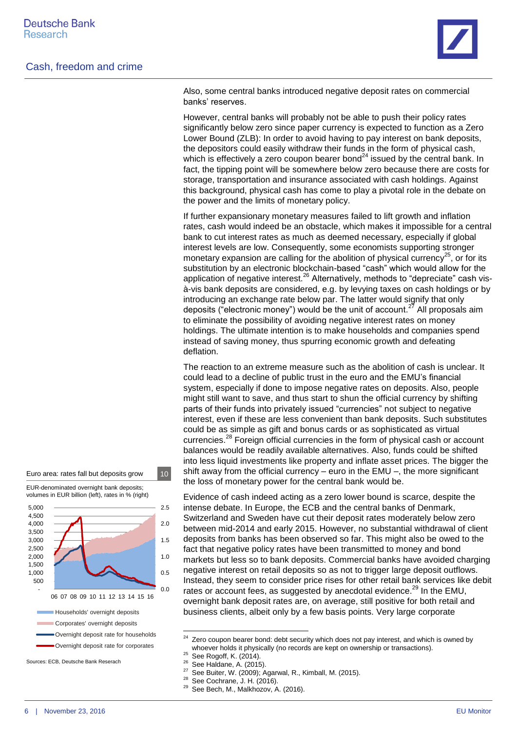

Also, some central banks introduced negative deposit rates on commercial banks' reserves.

However, central banks will probably not be able to push their policy rates significantly below zero since paper currency is expected to function as a Zero Lower Bound (ZLB): In order to avoid having to pay interest on bank deposits, the depositors could easily withdraw their funds in the form of physical cash, which is effectively a zero coupon bearer bond<sup>24</sup> issued by the central bank. In fact, the tipping point will be somewhere below zero because there are costs for storage, transportation and insurance associated with cash holdings. Against this background, physical cash has come to play a pivotal role in the debate on the power and the limits of monetary policy.

If further expansionary monetary measures failed to lift growth and inflation rates, cash would indeed be an obstacle, which makes it impossible for a central bank to cut interest rates as much as deemed necessary, especially if global interest levels are low. Consequently, some economists supporting stronger monetary expansion are calling for the abolition of physical currency<sup>25</sup>, or for its substitution by an electronic blockchain-based "cash" which would allow for the application of negative interest.<sup>26</sup> Alternatively, methods to "depreciate" cash visà-vis bank deposits are considered, e.g. by levying taxes on cash holdings or by introducing an exchange rate below par. The latter would signify that only deposits ("electronic money") would be the unit of account.<sup>27</sup> All proposals aim to eliminate the possibility of avoiding negative interest rates on money holdings. The ultimate intention is to make households and companies spend instead of saving money, thus spurring economic growth and defeating deflation.

The reaction to an extreme measure such as the abolition of cash is unclear. It could lead to a decline of public trust in the euro and the EMU's financial system, especially if done to impose negative rates on deposits. Also, people might still want to save, and thus start to shun the official currency by shifting parts of their funds into privately issued "currencies" not subject to negative interest, even if these are less convenient than bank deposits. Such substitutes could be as simple as gift and bonus cards or as sophisticated as virtual currencies.<sup>28</sup> Foreign official currencies in the form of physical cash or account balances would be readily available alternatives. Also, funds could be shifted into less liquid investments like property and inflate asset prices. The bigger the shift away from the official currency – euro in the EMU –, the more significant the loss of monetary power for the central bank would be.

Evidence of cash indeed acting as a zero lower bound is scarce, despite the intense debate. In Europe, the ECB and the central banks of Denmark, Switzerland and Sweden have cut their deposit rates moderately below zero between mid-2014 and early 2015. However, no substantial withdrawal of client deposits from banks has been observed so far. This might also be owed to the fact that negative policy rates have been transmitted to money and bond markets but less so to bank deposits. Commercial banks have avoided charging negative interest on retail deposits so as not to trigger large deposit outflows. Instead, they seem to consider price rises for other retail bank services like debit rates or account fees, as suggested by anecdotal evidence.<sup>29</sup> In the EMU, overnight bank deposit rates are, on average, still positive for both retail and business clients, albeit only by a few basis points. Very large corporate

Euro area: rates fall but deposits grow 10

EUR-denominated overnight bank deposits; volumes in EUR billion (left), rates in % (right)



 $24$  Zero coupon bearer bond: debt security which does not pay interest, and which is owned by whoever holds it physically (no records are kept on ownership or transactions).

 $^{25}$  See Rogoff, K. (2014).

<sup>&</sup>lt;sup>26</sup> See Haldane, A. (2015). <sup>27</sup> See Buiter, W. (2009); Agarwal, R., Kimball, M. (2015).

See Cochrane, J. H. (2016).

<sup>&</sup>lt;sup>29</sup> See Bech, M., Malkhozov, A. (2016).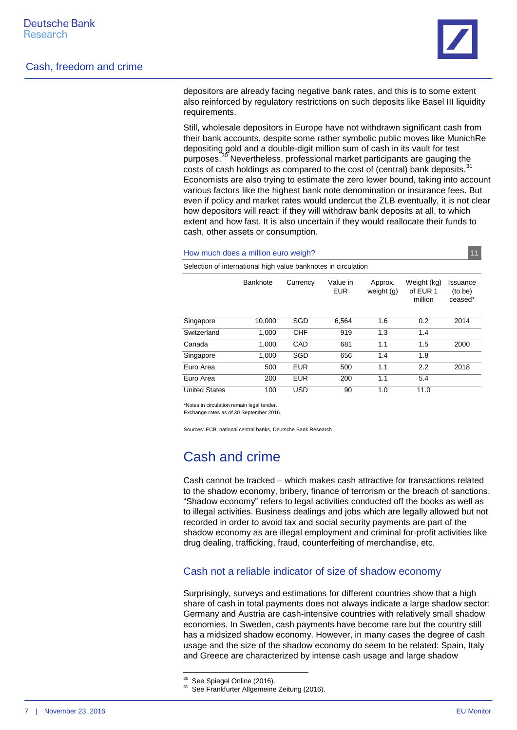

depositors are already facing negative bank rates, and this is to some extent also reinforced by regulatory restrictions on such deposits like Basel III liquidity requirements.

Still, wholesale depositors in Europe have not withdrawn significant cash from their bank accounts, despite some rather symbolic public moves like MunichRe depositing gold and a double-digit million sum of cash in its vault for test purposes.<sup>30</sup> Nevertheless, professional market participants are gauging the costs of cash holdings as compared to the cost of (central) bank deposits.<sup>31</sup> Economists are also trying to estimate the zero lower bound, taking into account various factors like the highest bank note denomination or insurance fees. But even if policy and market rates would undercut the ZLB eventually, it is not clear how depositors will react: if they will withdraw bank deposits at all, to which extent and how fast. It is also uncertain if they would reallocate their funds to cash, other assets or consumption.

#### How much does a million euro weigh? 11 and 12 and 12 and 12 and 12 and 12 and 12 and 12 and 12 and 12 and 12 and 12 and 12 and 12 and 12 and 12 and 12 and 12 and 12 and 12 and 12 and 12 and 12 and 12 and 12 and 12 and 12 a

| Selection of international high value banknotes in circulation |  |
|----------------------------------------------------------------|--|
|----------------------------------------------------------------|--|

|                      | <b>Banknote</b> | Currency   | Value in<br><b>EUR</b> | Approx.<br>weight (g) | Weight (kg)<br>of EUR 1<br>million | Issuance<br>(to be)<br>ceased* |
|----------------------|-----------------|------------|------------------------|-----------------------|------------------------------------|--------------------------------|
| Singapore            | 10,000          | SGD        | 6,564                  | 1.6                   | 0.2                                | 2014                           |
| Switzerland          | 1,000           | <b>CHF</b> | 919                    | 1.3                   | 1.4                                |                                |
| Canada               | 1,000           | CAD        | 681                    | 1.1                   | 1.5                                | 2000                           |
| Singapore            | 1,000           | SGD        | 656                    | 1.4                   | 1.8                                |                                |
| Euro Area            | 500             | <b>EUR</b> | 500                    | 1.1                   | 2.2                                | 2018                           |
| Euro Area            | 200             | <b>EUR</b> | 200                    | 1.1                   | 5.4                                |                                |
| <b>United States</b> | 100             | <b>USD</b> | 90                     | 1.0                   | 11.0                               |                                |

\*Notes in circulation remain legal tender.

Exchange rates as of 30 September 2016.

Sources: ECB, national central banks, Deutsche Bank Research

# Cash and crime

Cash cannot be tracked – which makes cash attractive for transactions related to the shadow economy, bribery, finance of terrorism or the breach of sanctions. "Shadow economy" refers to legal activities conducted off the books as well as to illegal activities. Business dealings and jobs which are legally allowed but not recorded in order to avoid tax and social security payments are part of the shadow economy as are illegal employment and criminal for-profit activities like drug dealing, trafficking, fraud, counterfeiting of merchandise, etc.

#### Cash not a reliable indicator of size of shadow economy

Surprisingly, surveys and estimations for different countries show that a high share of cash in total payments does not always indicate a large shadow sector: Germany and Austria are cash-intensive countries with relatively small shadow economies. In Sweden, cash payments have become rare but the country still has a midsized shadow economy. However, in many cases the degree of cash usage and the size of the shadow economy do seem to be related: Spain, Italy and Greece are characterized by intense cash usage and large shadow

<sup>&</sup>lt;sup>30</sup> See Spiegel Online (2016).

<sup>&</sup>lt;sup>31</sup> See Frankfurter Allgemeine Zeitung (2016).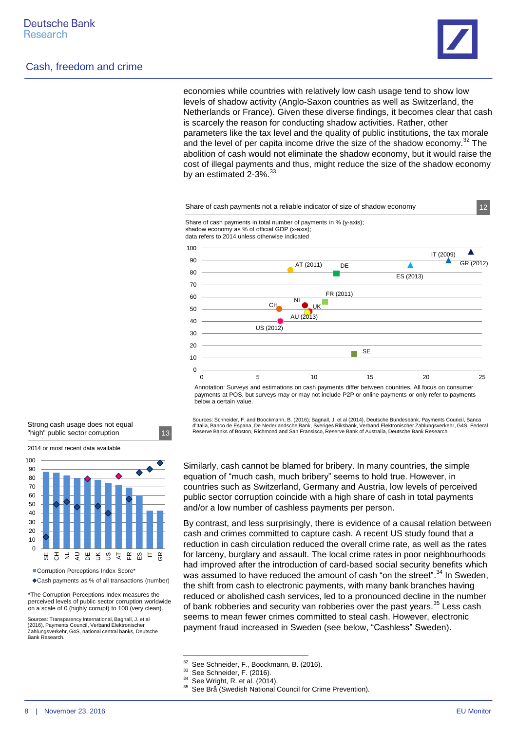

economies while countries with relatively low cash usage tend to show low levels of shadow activity (Anglo-Saxon countries as well as Switzerland, the Netherlands or France). Given these diverse findings, it becomes clear that cash is scarcely the reason for conducting shadow activities. Rather, other parameters like the tax level and the quality of public institutions, the tax morale and the level of per capita income drive the size of the shadow economy.<sup>32</sup> The abolition of cash would not eliminate the shadow economy, but it would raise the cost of illegal payments and thus, might reduce the size of the shadow economy by an estimated 2-3%.<sup>33</sup>



payments at POS, but surveys may or may not include P2P or online payments or only refer to payments below a certain value.

Sources: Schneider, F. and Boockmann, B. (2016); Bagnall, J. et al (2014), Deutsche Bundesbank, Payments Council, Banca<br>d'Italia, Banco de Espana, De Nederlandsche Bank, Sveriges Riksbank, Verband Elektronischer Zahlungsve Reserve Banks of Boston, Richmond and San Fransisco, Reserve Bank of Australia, Deutsche Bank Research.

Similarly, cash cannot be blamed for bribery. In many countries, the simple equation of "much cash, much bribery" seems to hold true. However, in countries such as Switzerland, Germany and Austria, low levels of perceived public sector corruption coincide with a high share of cash in total payments and/or a low number of cashless payments per person.

By contrast, and less surprisingly, there is evidence of a causal relation between cash and crimes committed to capture cash. A recent US study found that a reduction in cash circulation reduced the overall crime rate, as well as the rates for larceny, burglary and assault. The local crime rates in poor neighbourhoods had improved after the introduction of card-based social security benefits which was assumed to have reduced the amount of cash "on the street".<sup>34</sup> In Sweden, the shift from cash to electronic payments, with many bank branches having reduced or abolished cash services, led to a pronounced decline in the number of bank robberies and security van robberies over the past years.<sup>35</sup> Less cash seems to mean fewer crimes committed to steal cash. However, electronic payment fraud increased in Sweden (see below, "Cashless" Sweden).

See Brå (Swedish National Council for Crime Prevention).

Strong cash usage does not equal "high" public sector corruption 13



Cash payments as % of all transactions (number)

\*The Corruption Perceptions Index measures the perceived levels of public sector corruption worldwide on a scale of 0 (highly corrupt) to 100 (very clean).

Sources: Transparency International, Bagnall, J. et al (2016), Payments Council, Verband Elektronischer Zahlungsverkehr, G4S, national central banks, Deutsche Bank Research

 $32$  See Schneider, F., Boockmann, B. (2016).

 $33$  See Schneider, F. (2016).

 $34$  See Wright, R. et al. (2014).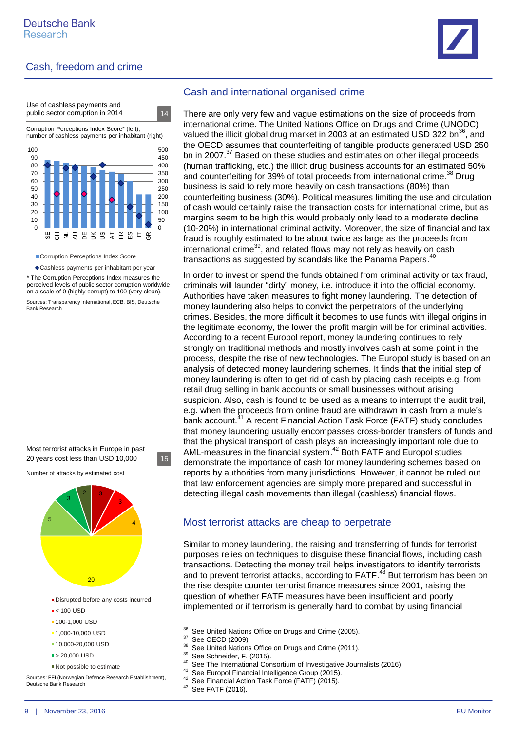

Use of cashless payments and public sector corruption in 2014 14







Corruption Perceptions Index Score

Cashless payments per inhabitant per year

\* The Corruption Perceptions Index measures the perceived levels of public sector corruption worldwide on a scale of 0 (highly corrupt) to 100 (very clean).

Sources: Transparency International, ECB, BIS, Deutsche Bank Research

Most terrorist attacks in Europe in past 20 years cost less than USD 10,000  $\sqrt{15}$ 

Number of attacks by estimated cost



- **Disrupted before any costs incurred**
- $\blacktriangleright$  < 100 USD
- **100-1,000 USD**
- **1,000-10,000 USD**
- **10,000-20,000 USD**
- $\approx 20,000$  USD
- Not possible to estimate

Sources: FFI (Norwegian Defence Research Establishment), Deutsche Bank Research

#### Cash and international organised crime

There are only very few and vague estimations on the size of proceeds from international crime. The United Nations Office on Drugs and Crime (UNODC) valued the illicit global drug market in 2003 at an estimated USD 322 bn<sup>36</sup>, and the OECD assumes that counterfeiting of tangible products generated USD 250 bn in 2007.<sup>37</sup> Based on these studies and estimates on other illegal proceeds (human trafficking, etc.) the illicit drug business accounts for an estimated 50% and counterfeiting for 39% of total proceeds from international crime.<sup>38</sup> Drug business is said to rely more heavily on cash transactions (80%) than counterfeiting business (30%). Political measures limiting the use and circulation of cash would certainly raise the transaction costs for international crime, but as margins seem to be high this would probably only lead to a moderate decline (10-20%) in international criminal activity. Moreover, the size of financial and tax fraud is roughly estimated to be about twice as large as the proceeds from international crime<sup>39</sup>, and related flows may not rely as heavily on cash transactions as suggested by scandals like the Panama Papers.<sup>40</sup>

In order to invest or spend the funds obtained from criminal activity or tax fraud, criminals will launder "dirty" money, i.e. introduce it into the official economy. Authorities have taken measures to fight money laundering. The detection of money laundering also helps to convict the perpetrators of the underlying crimes. Besides, the more difficult it becomes to use funds with illegal origins in the legitimate economy, the lower the profit margin will be for criminal activities. According to a recent Europol report, money laundering continues to rely strongly on traditional methods and mostly involves cash at some point in the process, despite the rise of new technologies. The Europol study is based on an analysis of detected money laundering schemes. It finds that the initial step of money laundering is often to get rid of cash by placing cash receipts e.g. from retail drug selling in bank accounts or small businesses without arising suspicion. Also, cash is found to be used as a means to interrupt the audit trail, e.g. when the proceeds from online fraud are withdrawn in cash from a mule's bank account.<sup>41</sup> A recent Financial Action Task Force (FATF) study concludes that money laundering usually encompasses cross-border transfers of funds and that the physical transport of cash plays an increasingly important role due to AML-measures in the financial system.<sup>42</sup> Both FATF and Europol studies demonstrate the importance of cash for money laundering schemes based on reports by authorities from many jurisdictions. However, it cannot be ruled out that law enforcement agencies are simply more prepared and successful in detecting illegal cash movements than illegal (cashless) financial flows.

#### Most terrorist attacks are cheap to perpetrate

Similar to money laundering, the raising and transferring of funds for terrorist purposes relies on techniques to disguise these financial flows, including cash transactions. Detecting the money trail helps investigators to identify terrorists and to prevent terrorist attacks, according to FATF.<sup>43</sup> But terrorism has been on the rise despite counter terrorist finance measures since 2001, raising the question of whether FATF measures have been insufficient and poorly implemented or if terrorism is generally hard to combat by using financial

<sup>38</sup> See United Nations Office on Drugs and Crime (2011).

- <sup>40</sup> See The International Consortium of Investigative Journalists (2016).
- <sup>41</sup> See Europol Financial Intelligence Group (2015).
- See Financial Action Task Force (FATF) (2015).

<sup>&</sup>lt;sup>36</sup> See United Nations Office on Drugs and Crime (2005).

 $37$  See OECD (2009).

 $39$  See Schneider, F. (2015).

<sup>43</sup> See FATF (2016).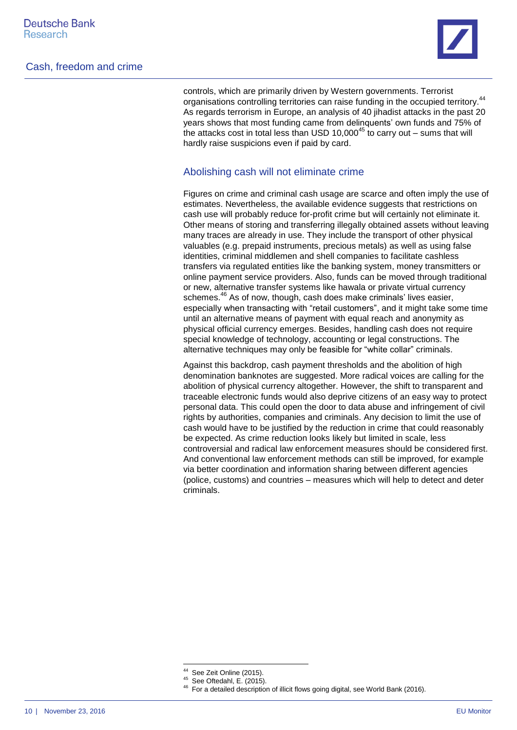

controls, which are primarily driven by Western governments. Terrorist organisations controlling territories can raise funding in the occupied territory.<sup>44</sup> As regards terrorism in Europe, an analysis of 40 jihadist attacks in the past 20 years shows that most funding came from delinquents' own funds and 75% of the attacks cost in total less than USD  $10,000^{45}$  to carry out – sums that will hardly raise suspicions even if paid by card.

#### Abolishing cash will not eliminate crime

Figures on crime and criminal cash usage are scarce and often imply the use of estimates. Nevertheless, the available evidence suggests that restrictions on cash use will probably reduce for-profit crime but will certainly not eliminate it. Other means of storing and transferring illegally obtained assets without leaving many traces are already in use. They include the transport of other physical valuables (e.g. prepaid instruments, precious metals) as well as using false identities, criminal middlemen and shell companies to facilitate cashless transfers via regulated entities like the banking system, money transmitters or online payment service providers. Also, funds can be moved through traditional or new, alternative transfer systems like hawala or private virtual currency schemes.<sup>46</sup> As of now, though, cash does make criminals' lives easier, especially when transacting with "retail customers", and it might take some time until an alternative means of payment with equal reach and anonymity as physical official currency emerges. Besides, handling cash does not require special knowledge of technology, accounting or legal constructions. The alternative techniques may only be feasible for "white collar" criminals.

Against this backdrop, cash payment thresholds and the abolition of high denomination banknotes are suggested. More radical voices are calling for the abolition of physical currency altogether. However, the shift to transparent and traceable electronic funds would also deprive citizens of an easy way to protect personal data. This could open the door to data abuse and infringement of civil rights by authorities, companies and criminals. Any decision to limit the use of cash would have to be justified by the reduction in crime that could reasonably be expected. As crime reduction looks likely but limited in scale, less controversial and radical law enforcement measures should be considered first. And conventional law enforcement methods can still be improved, for example via better coordination and information sharing between different agencies (police, customs) and countries – measures which will help to detect and deter criminals.

See Zeit Online (2015).

<sup>45</sup> See Oftedahl, E. (2015).

<sup>46</sup> For a detailed description of illicit flows going digital, see World Bank (2016).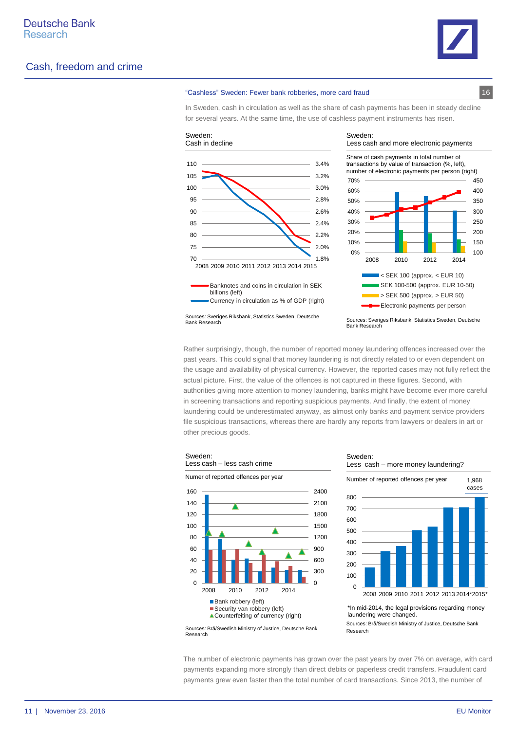

#### "Cashless" Sweden: Fewer bank robberies, more card fraud 16

In Sweden, cash in circulation as well as the share of cash payments has been in steady decline for several years. At the same time, the use of cashless payment instruments has risen.

Sweden:





Sources: Sveriges Riksbank, Statistics Sweden, Deutsche Bank Research

Sources: Sveriges Riksbank, Statistics Sweden, Deutsche Bank Research

Rather surprisingly, though, the number of reported money laundering offences increased over the past years. This could signal that money laundering is not directly related to or even dependent on the usage and availability of physical currency. However, the reported cases may not fully reflect the actual picture. First, the value of the offences is not captured in these figures. Second, with authorities giving more attention to money laundering, banks might have become ever more careful in screening transactions and reporting suspicious payments. And finally, the extent of money laundering could be underestimated anyway, as almost only banks and payment service providers file suspicious transactions, whereas there are hardly any reports from lawyers or dealers in art or other precious goods.

![](_page_10_Figure_10.jpeg)

![](_page_10_Figure_11.jpeg)

#### Sweden: Less  $cash - more money launched.$

![](_page_10_Figure_13.jpeg)

\*In mid-2014, the legal provisions regarding money laundering were changed.

Sources: Brå/Swedish Ministry of Justice, Deutsche Bank Research

The number of electronic payments has grown over the past years by over 7% on average, with card payments expanding more strongly than direct debits or paperless credit transfers. Fraudulent card payments grew even faster than the total number of card transactions. Since 2013, the number of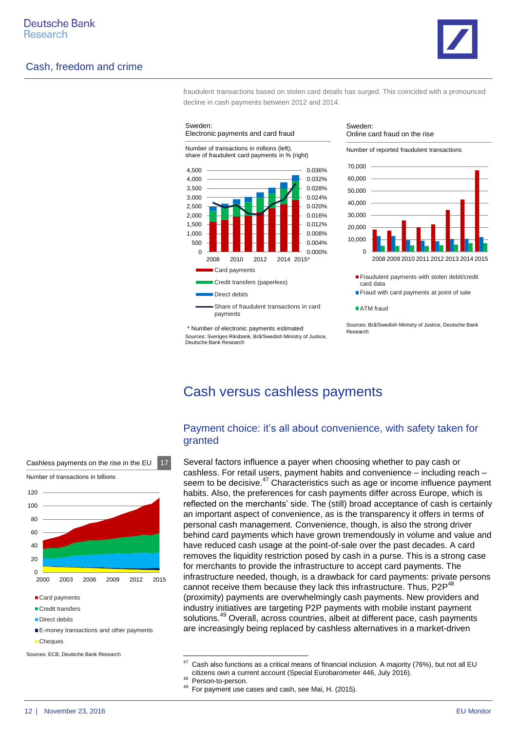![](_page_11_Picture_1.jpeg)

![](_page_11_Picture_2.jpeg)

fraudulent transactions based on stolen card details has surged. This coincided with a pronounced decline in cash payments between 2012 and 2014.

![](_page_11_Figure_4.jpeg)

60,000

Sweden:

![](_page_11_Figure_6.jpeg)

Number of reported fraudulent transactions

Online card fraud on the rise

Fraudulent payments with stolen debit/credit card data

Fraud with card payments at point of sale

Sources: Brå/Swedish Ministry of Justice, Deutsche Bank Research

# Cash versus cashless payments

#### Payment choice: it's all about convenience, with safety taken for granted

Several factors influence a payer when choosing whether to pay cash or cashless. For retail users, payment habits and convenience – including reach – seem to be decisive.<sup>47</sup> Characteristics such as age or income influence payment habits. Also, the preferences for cash payments differ across Europe, which is reflected on the merchants' side. The (still) broad acceptance of cash is certainly an important aspect of convenience, as is the transparency it offers in terms of personal cash management. Convenience, though, is also the strong driver behind card payments which have grown tremendously in volume and value and have reduced cash usage at the point-of-sale over the past decades. A card removes the liquidity restriction posed by cash in a purse. This is a strong case for merchants to provide the infrastructure to accept card payments. The infrastructure needed, though, is a drawback for card payments: private persons cannot receive them because they lack this infrastructure. Thus, P2P<sup>48</sup> (proximity) payments are overwhelmingly cash payments. New providers and industry initiatives are targeting P2P payments with mobile instant payment solutions.<sup>49</sup> Overall, across countries, albeit at different pace, cash payments are increasingly being replaced by cashless alternatives in a market-driven

<sup>49</sup> For payment use cases and cash, see Mai, H. (2015).

![](_page_11_Figure_18.jpeg)

<sup>■</sup>ATM fraud

Sources: Sveriges Riksbank, Brå/Swedish Ministry of Justice, Deutsche Bank Research \* Number of electronic payments estimated

 $47$  Cash also functions as a critical means of financial inclusion. A majority (76%), but not all EU citizens own a current account (Special Eurobarometer 446, July 2016).

<sup>48</sup> Person-to-person.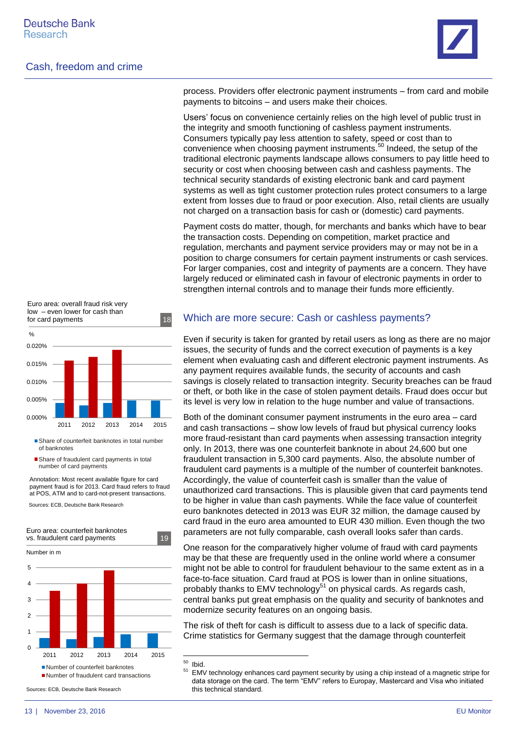![](_page_12_Picture_2.jpeg)

process. Providers offer electronic payment instruments – from card and mobile payments to bitcoins – and users make their choices.

Users' focus on convenience certainly relies on the high level of public trust in the integrity and smooth functioning of cashless payment instruments. Consumers typically pay less attention to safety, speed or cost than to convenience when choosing payment instruments.<sup>50</sup> Indeed, the setup of the traditional electronic payments landscape allows consumers to pay little heed to security or cost when choosing between cash and cashless payments. The technical security standards of existing electronic bank and card payment systems as well as tight customer protection rules protect consumers to a large extent from losses due to fraud or poor execution. Also, retail clients are usually not charged on a transaction basis for cash or (domestic) card payments.

Payment costs do matter, though, for merchants and banks which have to bear the transaction costs. Depending on competition, market practice and regulation, merchants and payment service providers may or may not be in a position to charge consumers for certain payment instruments or cash services. For larger companies, cost and integrity of payments are a concern. They have largely reduced or eliminated cash in favour of electronic payments in order to strengthen internal controls and to manage their funds more efficiently.

Which are more secure: Cash or cashless payments?

![](_page_12_Figure_6.jpeg)

- Share of counterfeit banknotes in total number of banknotes
- Share of fraudulent card payments in total number of card payments

Annotation: Most recent available figure for card payment fraud is for 2013. Card fraud refers to fraud at POS, ATM and to card-not-present transactions.

Sources: ECB, Deutsche Bank Research

![](_page_12_Figure_11.jpeg)

Sources: ECB, Deutsche Bank Research

#### Even if security is taken for granted by retail users as long as there are no major issues, the security of funds and the correct execution of payments is a key element when evaluating cash and different electronic payment instruments. As any payment requires available funds, the security of accounts and cash savings is closely related to transaction integrity. Security breaches can be fraud or theft, or both like in the case of stolen payment details. Fraud does occur but its level is very low in relation to the huge number and value of transactions.

Both of the dominant consumer payment instruments in the euro area – card and cash transactions – show low levels of fraud but physical currency looks more fraud-resistant than card payments when assessing transaction integrity only. In 2013, there was one counterfeit banknote in about 24,600 but one fraudulent transaction in 5,300 card payments. Also, the absolute number of fraudulent card payments is a multiple of the number of counterfeit banknotes. Accordingly, the value of counterfeit cash is smaller than the value of unauthorized card transactions. This is plausible given that card payments tend to be higher in value than cash payments. While the face value of counterfeit euro banknotes detected in 2013 was EUR 32 million, the damage caused by card fraud in the euro area amounted to EUR 430 million. Even though the two parameters are not fully comparable, cash overall looks safer than cards.

One reason for the comparatively higher volume of fraud with card payments may be that these are frequently used in the online world where a consumer might not be able to control for fraudulent behaviour to the same extent as in a face-to-face situation. Card fraud at POS is lower than in online situations, probably thanks to EMV technology<sup>51</sup> on physical cards. As regards cash, central banks put great emphasis on the quality and security of banknotes and modernize security features on an ongoing basis.

The risk of theft for cash is difficult to assess due to a lack of specific data. Crime statistics for Germany suggest that the damage through counterfeit

 $\frac{50}{51}$  Ibid.

<sup>51</sup> EMV technology enhances card payment security by using a chip instead of a magnetic stripe for data storage on the card. The term "EMV" refers to Europay, Mastercard and Visa who initiated this technical standard.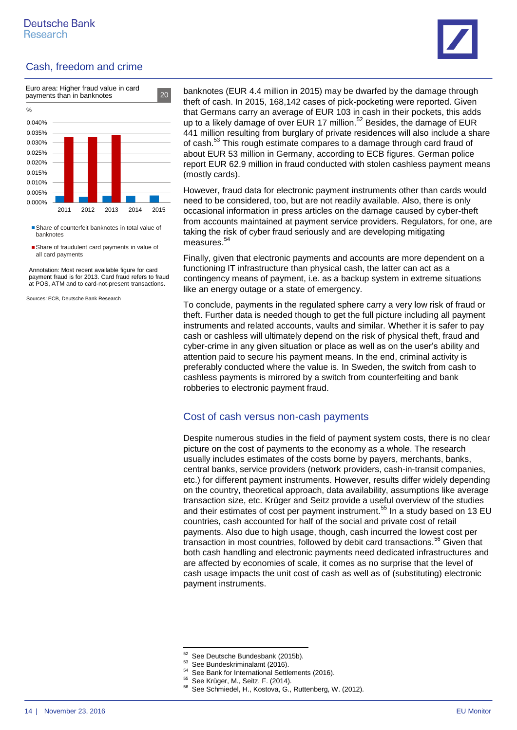![](_page_13_Picture_1.jpeg)

![](_page_13_Figure_3.jpeg)

Share of counterfeit banknotes in total value of banknotes

Share of fraudulent card payments in value of all card payments

Annotation: Most recent available figure for card payment fraud is for 2013. Card fraud refers to fraud at POS, ATM and to card-not-present transactions.

Sources: ECB, Deutsche Bank Research

banknotes (EUR 4.4 million in 2015) may be dwarfed by the damage through theft of cash. In 2015, 168,142 cases of pick-pocketing were reported. Given that Germans carry an average of EUR 103 in cash in their pockets, this adds up to a likely damage of over EUR 17 million.<sup>52</sup> Besides, the damage of EUR 441 million resulting from burglary of private residences will also include a share of cash.<sup>53</sup> This rough estimate compares to a damage through card fraud of about EUR 53 million in Germany, according to ECB figures. German police report EUR 62.9 million in fraud conducted with stolen cashless payment means (mostly cards).

However, fraud data for electronic payment instruments other than cards would need to be considered, too, but are not readily available. Also, there is only occasional information in press articles on the damage caused by cyber-theft from accounts maintained at payment service providers. Regulators, for one, are taking the risk of cyber fraud seriously and are developing mitigating measures.<sup>54</sup>

Finally, given that electronic payments and accounts are more dependent on a functioning IT infrastructure than physical cash, the latter can act as a contingency means of payment, i.e. as a backup system in extreme situations like an energy outage or a state of emergency.

To conclude, payments in the regulated sphere carry a very low risk of fraud or theft. Further data is needed though to get the full picture including all payment instruments and related accounts, vaults and similar. Whether it is safer to pay cash or cashless will ultimately depend on the risk of physical theft, fraud and cyber-crime in any given situation or place as well as on the user's ability and attention paid to secure his payment means. In the end, criminal activity is preferably conducted where the value is. In Sweden, the switch from cash to cashless payments is mirrored by a switch from counterfeiting and bank robberies to electronic payment fraud.

#### Cost of cash versus non-cash payments

Despite numerous studies in the field of payment system costs, there is no clear picture on the cost of payments to the economy as a whole. The research usually includes estimates of the costs borne by payers, merchants, banks, central banks, service providers (network providers, cash-in-transit companies, etc.) for different payment instruments. However, results differ widely depending on the country, theoretical approach, data availability, assumptions like average transaction size, etc. Krüger and Seitz provide a useful overview of the studies and their estimates of cost per payment instrument.<sup>55</sup> In a study based on 13 EU countries, cash accounted for half of the social and private cost of retail payments. Also due to high usage, though, cash incurred the lowest cost per transaction in most countries, followed by debit card transactions.<sup>56</sup> Given that both cash handling and electronic payments need dedicated infrastructures and are affected by economies of scale, it comes as no surprise that the level of cash usage impacts the unit cost of cash as well as of (substituting) electronic payment instruments.

 $52$  See Deutsche Bundesbank (2015b).

 $^{53}$  See Bundeskriminalamt (2016).

 $^{54}$  See Bank for International Settlements (2016).

 $55$  See Krüger, M., Seitz, F. (2014).

See Schmiedel, H., Kostova, G., Ruttenberg, W. (2012).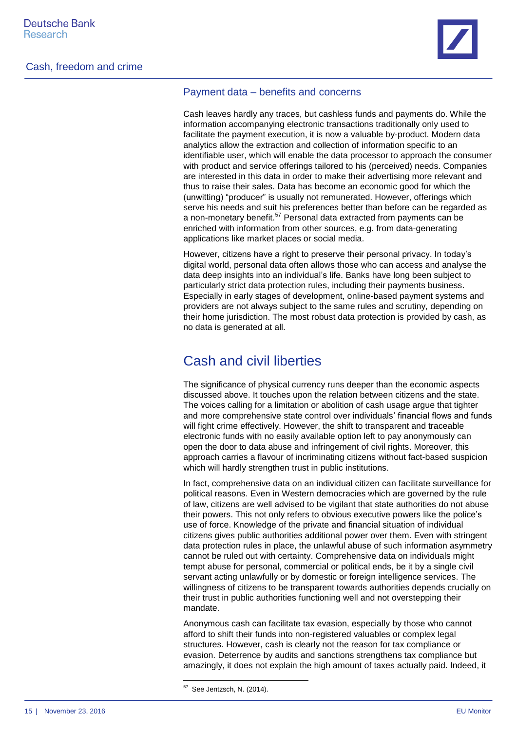![](_page_14_Picture_2.jpeg)

#### Payment data – benefits and concerns

Cash leaves hardly any traces, but cashless funds and payments do. While the information accompanying electronic transactions traditionally only used to facilitate the payment execution, it is now a valuable by-product. Modern data analytics allow the extraction and collection of information specific to an identifiable user, which will enable the data processor to approach the consumer with product and service offerings tailored to his (perceived) needs. Companies are interested in this data in order to make their advertising more relevant and thus to raise their sales. Data has become an economic good for which the (unwitting) "producer" is usually not remunerated. However, offerings which serve his needs and suit his preferences better than before can be regarded as a non-monetary benefit.<sup>57</sup> Personal data extracted from payments can be enriched with information from other sources, e.g. from data-generating applications like market places or social media.

However, citizens have a right to preserve their personal privacy. In today's digital world, personal data often allows those who can access and analyse the data deep insights into an individual's life. Banks have long been subject to particularly strict data protection rules, including their payments business. Especially in early stages of development, online-based payment systems and providers are not always subject to the same rules and scrutiny, depending on their home jurisdiction. The most robust data protection is provided by cash, as no data is generated at all.

## Cash and civil liberties

The significance of physical currency runs deeper than the economic aspects discussed above. It touches upon the relation between citizens and the state. The voices calling for a limitation or abolition of cash usage argue that tighter and more comprehensive state control over individuals' financial flows and funds will fight crime effectively. However, the shift to transparent and traceable electronic funds with no easily available option left to pay anonymously can open the door to data abuse and infringement of civil rights. Moreover, this approach carries a flavour of incriminating citizens without fact-based suspicion which will hardly strengthen trust in public institutions.

In fact, comprehensive data on an individual citizen can facilitate surveillance for political reasons. Even in Western democracies which are governed by the rule of law, citizens are well advised to be vigilant that state authorities do not abuse their powers. This not only refers to obvious executive powers like the police's use of force. Knowledge of the private and financial situation of individual citizens gives public authorities additional power over them. Even with stringent data protection rules in place, the unlawful abuse of such information asymmetry cannot be ruled out with certainty. Comprehensive data on individuals might tempt abuse for personal, commercial or political ends, be it by a single civil servant acting unlawfully or by domestic or foreign intelligence services. The willingness of citizens to be transparent towards authorities depends crucially on their trust in public authorities functioning well and not overstepping their mandate.

Anonymous cash can facilitate tax evasion, especially by those who cannot afford to shift their funds into non-registered valuables or complex legal structures. However, cash is clearly not the reason for tax compliance or evasion. Deterrence by audits and sanctions strengthens tax compliance but amazingly, it does not explain the high amount of taxes actually paid. Indeed, it

 $57$  See Jentzsch, N. (2014).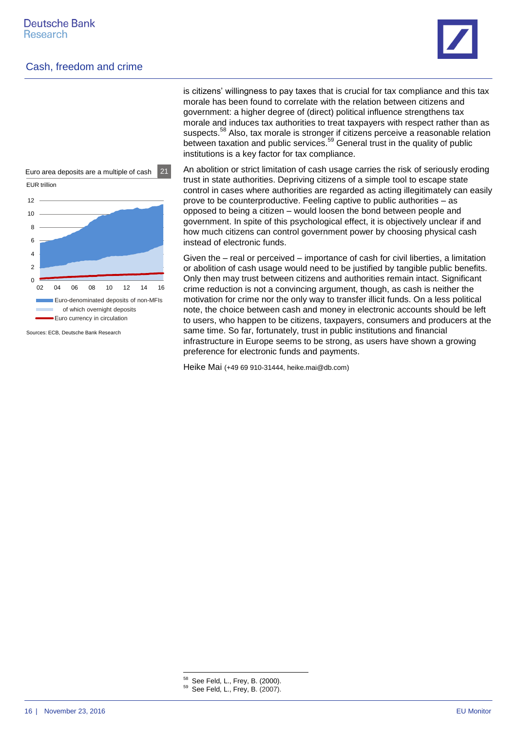![](_page_15_Picture_2.jpeg)

![](_page_15_Figure_3.jpeg)

Sources: ECB, Deutsche Bank Research

is citizens' willingness to pay taxes that is crucial for tax compliance and this tax morale has been found to correlate with the relation between citizens and government: a higher degree of (direct) political influence strengthens tax morale and induces tax authorities to treat taxpayers with respect rather than as suspects.<sup>58</sup> Also, tax morale is stronger if citizens perceive a reasonable relation between taxation and public services.<sup>59</sup> General trust in the quality of public institutions is a key factor for tax compliance.

An abolition or strict limitation of cash usage carries the risk of seriously eroding trust in state authorities. Depriving citizens of a simple tool to escape state control in cases where authorities are regarded as acting illegitimately can easily prove to be counterproductive. Feeling captive to public authorities – as opposed to being a citizen – would loosen the bond between people and government. In spite of this psychological effect, it is objectively unclear if and how much citizens can control government power by choosing physical cash instead of electronic funds.

Given the – real or perceived – importance of cash for civil liberties, a limitation or abolition of cash usage would need to be justified by tangible public benefits. Only then may trust between citizens and authorities remain intact. Significant crime reduction is not a convincing argument, though, as cash is neither the motivation for crime nor the only way to transfer illicit funds. On a less political note, the choice between cash and money in electronic accounts should be left to users, who happen to be citizens, taxpayers, consumers and producers at the same time. So far, fortunately, trust in public institutions and financial infrastructure in Europe seems to be strong, as users have shown a growing preference for electronic funds and payments.

Heike Mai (+49 69 910-31444, heike.mai@db.com)

See Feld, L., Frey, B. (2000).

<sup>59</sup> See Feld, L., Frey, B. (2007).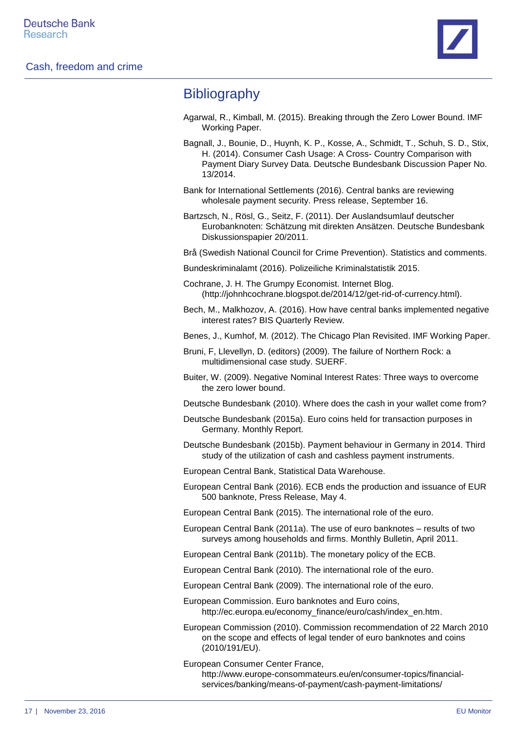![](_page_16_Picture_2.jpeg)

### **Bibliography**

- Agarwal, R., Kimball, M. (2015). Breaking through the Zero Lower Bound. IMF Working Paper.
- Bagnall, J., Bounie, D., Huynh, K. P., Kosse, A., Schmidt, T., Schuh, S. D., Stix, H. (2014). Consumer Cash Usage: A Cross- Country Comparison with Payment Diary Survey Data. Deutsche Bundesbank Discussion Paper No. 13/2014.

Bank for International Settlements (2016). Central banks are reviewing wholesale payment security. Press release, September 16.

Bartzsch, N., Rösl, G., Seitz, F. (2011). Der Auslandsumlauf deutscher Eurobanknoten: Schätzung mit direkten Ansätzen. Deutsche Bundesbank Diskussionspapier 20/2011.

Brå (Swedish National Council for Crime Prevention). Statistics and comments.

- Bundeskriminalamt (2016). Polizeiliche Kriminalstatistik 2015.
- Cochrane, J. H. The Grumpy Economist. Internet Blog. (http://johnhcochrane.blogspot.de/2014/12/get-rid-of-currency.html).
- Bech, M., Malkhozov, A. (2016). How have central banks implemented negative interest rates? BIS Quarterly Review.
- Benes, J., Kumhof, M. (2012). The Chicago Plan Revisited. IMF Working Paper.
- Bruni, F, Llevellyn, D. (editors) (2009). The failure of Northern Rock: a multidimensional case study. SUERF.
- Buiter, W. (2009). Negative Nominal Interest Rates: Three ways to overcome the zero lower bound.
- Deutsche Bundesbank (2010). Where does the cash in your wallet come from?
- Deutsche Bundesbank (2015a). Euro coins held for transaction purposes in Germany. Monthly Report.
- Deutsche Bundesbank (2015b). Payment behaviour in Germany in 2014. Third study of the utilization of cash and cashless payment instruments.
- European Central Bank, Statistical Data Warehouse.
- European Central Bank (2016). ECB ends the production and issuance of EUR 500 banknote, Press Release, May 4.
- European Central Bank (2015). The international role of the euro.
- European Central Bank (2011a). The use of euro banknotes results of two surveys among households and firms. Monthly Bulletin, April 2011.
- European Central Bank (2011b). The monetary policy of the ECB.
- European Central Bank (2010). The international role of the euro.
- European Central Bank (2009). The international role of the euro.
- European Commission. Euro banknotes and Euro coins, [http://ec.europa.eu/economy\\_finance/euro/cash/index\\_en.htm.](http://ec.europa.eu/economy_finance/euro/cash/index_en.htm)
- European Commission (2010). Commission recommendation of 22 March 2010 on the scope and effects of legal tender of euro banknotes and coins (2010/191/EU).

European Consumer Center France,

http://www.europe-consommateurs.eu/en/consumer-topics/financialservices/banking/means-of-payment/cash-payment-limitations/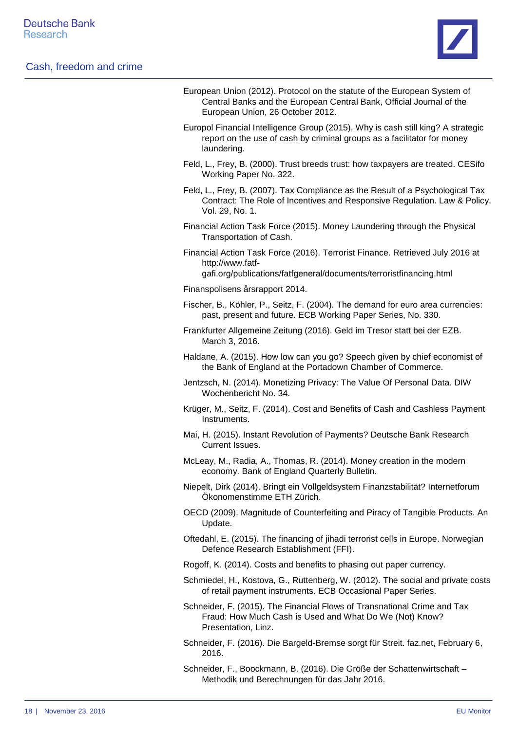![](_page_17_Picture_2.jpeg)

| European Union (2012). Protocol on the statute of the European System of<br>Central Banks and the European Central Bank, Official Journal of the<br>European Union, 26 October 2012. |
|--------------------------------------------------------------------------------------------------------------------------------------------------------------------------------------|
| Europol Financial Intelligence Group (2015). Why is cash still king? A strategic<br>report on the use of cash by criminal groups as a facilitator for money<br>laundering.           |
| Feld, L., Frey, B. (2000). Trust breeds trust: how taxpayers are treated. CESifo<br>Working Paper No. 322.                                                                           |
| Feld, L., Frey, B. (2007). Tax Compliance as the Result of a Psychological Tax<br>Contract: The Role of Incentives and Responsive Regulation. Law & Policy,<br>Vol. 29, No. 1.       |
| Financial Action Task Force (2015). Money Laundering through the Physical<br>Transportation of Cash.                                                                                 |
| Financial Action Task Force (2016). Terrorist Finance. Retrieved July 2016 at<br>http://www.fatf-<br>gafi.org/publications/fatfgeneral/documents/terroristfinancing.html             |
| Finanspolisens årsrapport 2014.                                                                                                                                                      |
| Fischer, B., Köhler, P., Seitz, F. (2004). The demand for euro area currencies:<br>past, present and future. ECB Working Paper Series, No. 330.                                      |
| Frankfurter Allgemeine Zeitung (2016). Geld im Tresor statt bei der EZB.<br>March 3, 2016.                                                                                           |
| Haldane, A. (2015). How low can you go? Speech given by chief economist of<br>the Bank of England at the Portadown Chamber of Commerce.                                              |
| Jentzsch, N. (2014). Monetizing Privacy: The Value Of Personal Data. DIW<br>Wochenbericht No. 34.                                                                                    |
| Krüger, M., Seitz, F. (2014). Cost and Benefits of Cash and Cashless Payment<br>Instruments.                                                                                         |
| Mai, H. (2015). Instant Revolution of Payments? Deutsche Bank Research<br>Current Issues.                                                                                            |
| McLeay, M., Radia, A., Thomas, R. (2014). Money creation in the modern<br>economy. Bank of England Quarterly Bulletin.                                                               |
| Niepelt, Dirk (2014). Bringt ein Vollgeldsystem Finanzstabilität? Internetforum<br>Ökonomenstimme ETH Zürich.                                                                        |
| OECD (2009). Magnitude of Counterfeiting and Piracy of Tangible Products. An<br>Update.                                                                                              |
| Oftedahl, E. (2015). The financing of jihadi terrorist cells in Europe. Norwegian<br>Defence Research Establishment (FFI).                                                           |
| Rogoff, K. (2014). Costs and benefits to phasing out paper currency.                                                                                                                 |
| Schmiedel, H., Kostova, G., Ruttenberg, W. (2012). The social and private costs<br>of retail payment instruments. ECB Occasional Paper Series.                                       |
| Schneider, F. (2015). The Financial Flows of Transnational Crime and Tax<br>Fraud: How Much Cash is Used and What Do We (Not) Know?<br>Presentation, Linz.                           |
| Schneider, F. (2016). Die Bargeld-Bremse sorgt für Streit. faz.net, February 6,<br>2016.                                                                                             |
| Schneider, F., Boockmann, B. (2016). Die Größe der Schattenwirtschaft -<br>Methodik und Berechnungen für das Jahr 2016.                                                              |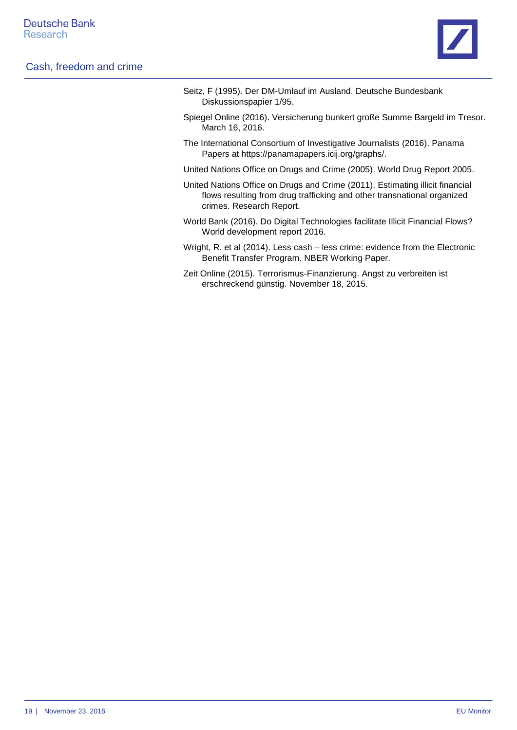![](_page_18_Picture_2.jpeg)

- Seitz, F (1995). Der DM-Umlauf im Ausland. Deutsche Bundesbank Diskussionspapier 1/95.
- Spiegel Online (2016). Versicherung bunkert große Summe Bargeld im Tresor. March 16, 2016.
- The International Consortium of Investigative Journalists (2016). Panama Papers at https://panamapapers.icij.org/graphs/.
- United Nations Office on Drugs and Crime (2005). World Drug Report 2005.
- United Nations Office on Drugs and Crime (2011). Estimating illicit financial flows resulting from drug trafficking and other transnational organized crimes. Research Report.
- World Bank (2016). Do Digital Technologies facilitate Illicit Financial Flows? World development report 2016.
- Wright, R. et al (2014). Less cash less crime: evidence from the Electronic Benefit Transfer Program. NBER Working Paper.
- Zeit Online (2015). Terrorismus-Finanzierung. Angst zu verbreiten ist erschreckend günstig. November 18, 2015.